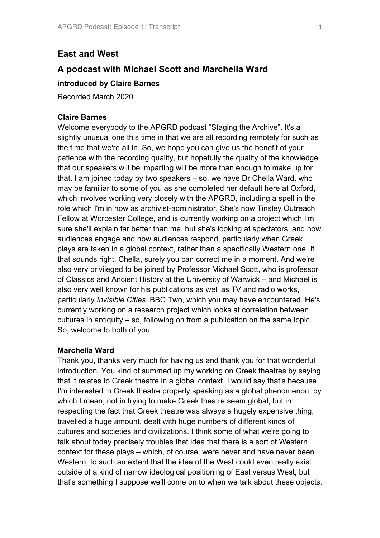# **East and West**

# **A podcast with Michael Scott and Marchella Ward**

# **introduced by Claire Barnes**

Recorded March 2020

### **Claire Barnes**

Welcome everybody to the APGRD podcast "Staging the Archive". It's a slightly unusual one this time in that we are all recording remotely for such as the time that we're all in. So, we hope you can give us the benefit of your patience with the recording quality, but hopefully the quality of the knowledge that our speakers will be imparting will be more than enough to make up for that. I am joined today by two speakers – so, we have Dr Chella Ward, who may be familiar to some of you as she completed her default here at Oxford, which involves working very closely with the APGRD, including a spell in the role which I'm in now as archivist-administrator. She's now Tinsley Outreach Fellow at Worcester College, and is currently working on a project which I'm sure she'll explain far better than me, but she's looking at spectators, and how audiences engage and how audiences respond, particularly when Greek plays are taken in a global context, rather than a specifically Western one. If that sounds right, Chella, surely you can correct me in a moment. And we're also very privileged to be joined by Professor Michael Scott, who is professor of Classics and Ancient History at the University of Warwick – and Michael is also very well known for his publications as well as TV and radio works, particularly *Invisible Cities*, BBC Two, which you may have encountered. He's currently working on a research project which looks at correlation between cultures in antiquity – so, following on from a publication on the same topic. So, welcome to both of you.

# **Marchella Ward**

Thank you, thanks very much for having us and thank you for that wonderful introduction. You kind of summed up my working on Greek theatres by saying that it relates to Greek theatre in a global context. I would say that's because I'm interested in Greek theatre properly speaking as a global phenomenon, by which I mean, not in trying to make Greek theatre seem global, but in respecting the fact that Greek theatre was always a hugely expensive thing, travelled a huge amount, dealt with huge numbers of different kinds of cultures and societies and civilizations. I think some of what we're going to talk about today precisely troubles that idea that there is a sort of Western context for these plays – which, of course, were never and have never been Western, to such an extent that the idea of the West could even really exist outside of a kind of narrow ideological positioning of East versus West, but that's something I suppose we'll come on to when we talk about these objects.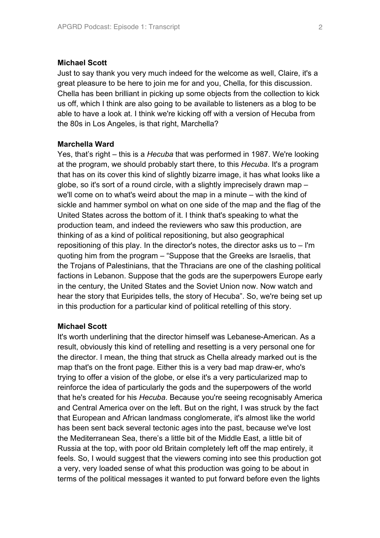#### **Michael Scott**

Just to say thank you very much indeed for the welcome as well, Claire, it's a great pleasure to be here to join me for and you, Chella, for this discussion. Chella has been brilliant in picking up some objects from the collection to kick us off, which I think are also going to be available to listeners as a blog to be able to have a look at. I think we're kicking off with a version of Hecuba from the 80s in Los Angeles, is that right, Marchella?

#### **Marchella Ward**

Yes, that's right – this is a *Hecuba* that was performed in 1987. We're looking at the program, we should probably start there, to this *Hecuba*. It's a program that has on its cover this kind of slightly bizarre image, it has what looks like a globe, so it's sort of a round circle, with a slightly imprecisely drawn map – we'll come on to what's weird about the map in a minute – with the kind of sickle and hammer symbol on what on one side of the map and the flag of the United States across the bottom of it. I think that's speaking to what the production team, and indeed the reviewers who saw this production, are thinking of as a kind of political repositioning, but also geographical repositioning of this play. In the director's notes, the director asks us to – I'm quoting him from the program – "Suppose that the Greeks are Israelis, that the Trojans of Palestinians, that the Thracians are one of the clashing political factions in Lebanon. Suppose that the gods are the superpowers Europe early in the century, the United States and the Soviet Union now. Now watch and hear the story that Euripides tells, the story of Hecuba". So, we're being set up in this production for a particular kind of political retelling of this story.

### **Michael Scott**

It's worth underlining that the director himself was Lebanese-American. As a result, obviously this kind of retelling and resetting is a very personal one for the director. I mean, the thing that struck as Chella already marked out is the map that's on the front page. Either this is a very bad map draw-er, who's trying to offer a vision of the globe, or else it's a very particularized map to reinforce the idea of particularly the gods and the superpowers of the world that he's created for his *Hecuba*. Because you're seeing recognisably America and Central America over on the left. But on the right, I was struck by the fact that European and African landmass conglomerate, it's almost like the world has been sent back several tectonic ages into the past, because we've lost the Mediterranean Sea, there's a little bit of the Middle East, a little bit of Russia at the top, with poor old Britain completely left off the map entirely, it feels. So, I would suggest that the viewers coming into see this production got a very, very loaded sense of what this production was going to be about in terms of the political messages it wanted to put forward before even the lights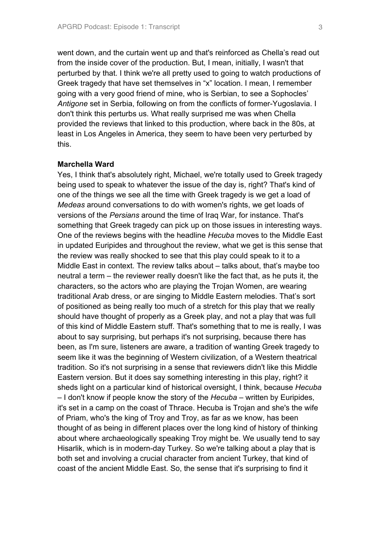went down, and the curtain went up and that's reinforced as Chella's read out from the inside cover of the production. But, I mean, initially, I wasn't that perturbed by that. I think we're all pretty used to going to watch productions of Greek tragedy that have set themselves in "x" location. I mean, I remember going with a very good friend of mine, who is Serbian, to see a Sophocles' *Antigone* set in Serbia, following on from the conflicts of former-Yugoslavia. I don't think this perturbs us. What really surprised me was when Chella provided the reviews that linked to this production, where back in the 80s, at least in Los Angeles in America, they seem to have been very perturbed by this.

### **Marchella Ward**

Yes, I think that's absolutely right, Michael, we're totally used to Greek tragedy being used to speak to whatever the issue of the day is, right? That's kind of one of the things we see all the time with Greek tragedy is we get a load of *Medeas* around conversations to do with women's rights, we get loads of versions of the *Persians* around the time of Iraq War, for instance. That's something that Greek tragedy can pick up on those issues in interesting ways. One of the reviews begins with the headline *Hecuba* moves to the Middle East in updated Euripides and throughout the review, what we get is this sense that the review was really shocked to see that this play could speak to it to a Middle East in context. The review talks about – talks about, that's maybe too neutral a term – the reviewer really doesn't like the fact that, as he puts it, the characters, so the actors who are playing the Trojan Women, are wearing traditional Arab dress, or are singing to Middle Eastern melodies. That's sort of positioned as being really too much of a stretch for this play that we really should have thought of properly as a Greek play, and not a play that was full of this kind of Middle Eastern stuff. That's something that to me is really, I was about to say surprising, but perhaps it's not surprising, because there has been, as I'm sure, listeners are aware, a tradition of wanting Greek tragedy to seem like it was the beginning of Western civilization, of a Western theatrical tradition. So it's not surprising in a sense that reviewers didn't like this Middle Eastern version. But it does say something interesting in this play, right? it sheds light on a particular kind of historical oversight, I think, because *Hecuba* – I don't know if people know the story of the *Hecuba* – written by Euripides, it's set in a camp on the coast of Thrace. Hecuba is Trojan and she's the wife of Priam, who's the king of Troy and Troy, as far as we know, has been thought of as being in different places over the long kind of history of thinking about where archaeologically speaking Troy might be. We usually tend to say Hisarlik, which is in modern-day Turkey. So we're talking about a play that is both set and involving a crucial character from ancient Turkey, that kind of coast of the ancient Middle East. So, the sense that it's surprising to find it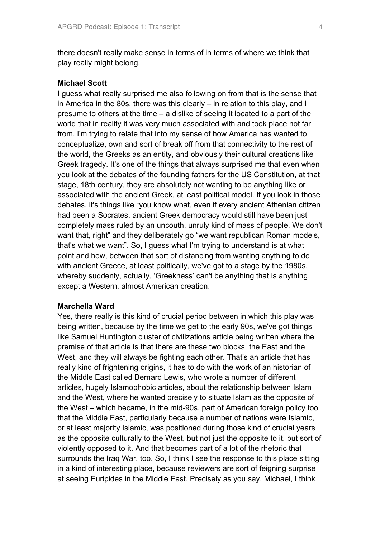there doesn't really make sense in terms of in terms of where we think that play really might belong.

### **Michael Scott**

I guess what really surprised me also following on from that is the sense that in America in the 80s, there was this clearly – in relation to this play, and I presume to others at the time – a dislike of seeing it located to a part of the world that in reality it was very much associated with and took place not far from. I'm trying to relate that into my sense of how America has wanted to conceptualize, own and sort of break off from that connectivity to the rest of the world, the Greeks as an entity, and obviously their cultural creations like Greek tragedy. It's one of the things that always surprised me that even when you look at the debates of the founding fathers for the US Constitution, at that stage, 18th century, they are absolutely not wanting to be anything like or associated with the ancient Greek, at least political model. If you look in those debates, it's things like "you know what, even if every ancient Athenian citizen had been a Socrates, ancient Greek democracy would still have been just completely mass ruled by an uncouth, unruly kind of mass of people. We don't want that, right" and they deliberately go "we want republican Roman models, that's what we want". So, I guess what I'm trying to understand is at what point and how, between that sort of distancing from wanting anything to do with ancient Greece, at least politically, we've got to a stage by the 1980s, whereby suddenly, actually, 'Greekness' can't be anything that is anything except a Western, almost American creation.

### **Marchella Ward**

Yes, there really is this kind of crucial period between in which this play was being written, because by the time we get to the early 90s, we've got things like Samuel Huntington cluster of civilizations article being written where the premise of that article is that there are these two blocks, the East and the West, and they will always be fighting each other. That's an article that has really kind of frightening origins, it has to do with the work of an historian of the Middle East called Bernard Lewis, who wrote a number of different articles, hugely Islamophobic articles, about the relationship between Islam and the West, where he wanted precisely to situate Islam as the opposite of the West – which became, in the mid-90s, part of American foreign policy too that the Middle East, particularly because a number of nations were Islamic, or at least majority Islamic, was positioned during those kind of crucial years as the opposite culturally to the West, but not just the opposite to it, but sort of violently opposed to it. And that becomes part of a lot of the rhetoric that surrounds the Iraq War, too. So, I think I see the response to this place sitting in a kind of interesting place, because reviewers are sort of feigning surprise at seeing Euripides in the Middle East. Precisely as you say, Michael, I think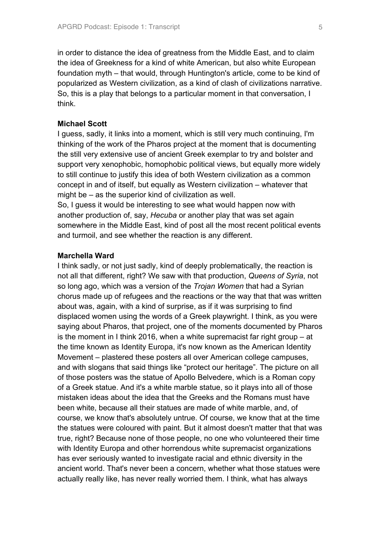in order to distance the idea of greatness from the Middle East, and to claim the idea of Greekness for a kind of white American, but also white European foundation myth – that would, through Huntington's article, come to be kind of popularized as Western civilization, as a kind of clash of civilizations narrative. So, this is a play that belongs to a particular moment in that conversation, I think.

#### **Michael Scott**

I guess, sadly, it links into a moment, which is still very much continuing, I'm thinking of the work of the Pharos project at the moment that is documenting the still very extensive use of ancient Greek exemplar to try and bolster and support very xenophobic, homophobic political views, but equally more widely to still continue to justify this idea of both Western civilization as a common concept in and of itself, but equally as Western civilization – whatever that might be – as the superior kind of civilization as well.

So, I guess it would be interesting to see what would happen now with another production of, say, *Hecuba* or another play that was set again somewhere in the Middle East, kind of post all the most recent political events and turmoil, and see whether the reaction is any different.

### **Marchella Ward**

I think sadly, or not just sadly, kind of deeply problematically, the reaction is not all that different, right? We saw with that production, *Queens of Syria*, not so long ago, which was a version of the *Trojan Women* that had a Syrian chorus made up of refugees and the reactions or the way that that was written about was, again, with a kind of surprise, as if it was surprising to find displaced women using the words of a Greek playwright. I think, as you were saying about Pharos, that project, one of the moments documented by Pharos is the moment in I think 2016, when a white supremacist far right group – at the time known as Identity Europa, it's now known as the American Identity Movement – plastered these posters all over American college campuses, and with slogans that said things like "protect our heritage". The picture on all of those posters was the statue of Apollo Belvedere, which is a Roman copy of a Greek statue. And it's a white marble statue, so it plays into all of those mistaken ideas about the idea that the Greeks and the Romans must have been white, because all their statues are made of white marble, and, of course, we know that's absolutely untrue. Of course, we know that at the time the statues were coloured with paint. But it almost doesn't matter that that was true, right? Because none of those people, no one who volunteered their time with Identity Europa and other horrendous white supremacist organizations has ever seriously wanted to investigate racial and ethnic diversity in the ancient world. That's never been a concern, whether what those statues were actually really like, has never really worried them. I think, what has always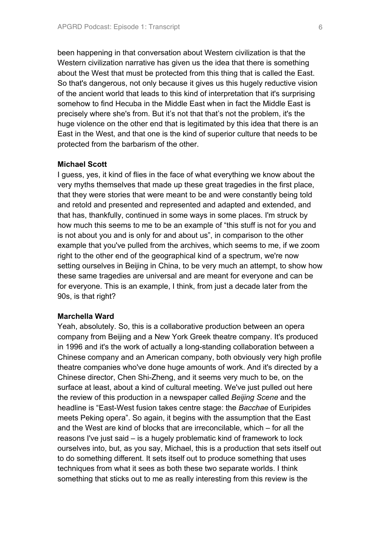been happening in that conversation about Western civilization is that the Western civilization narrative has given us the idea that there is something about the West that must be protected from this thing that is called the East. So that's dangerous, not only because it gives us this hugely reductive vision of the ancient world that leads to this kind of interpretation that it's surprising somehow to find Hecuba in the Middle East when in fact the Middle East is precisely where she's from. But it's not that that's not the problem, it's the huge violence on the other end that is legitimated by this idea that there is an East in the West, and that one is the kind of superior culture that needs to be protected from the barbarism of the other.

# **Michael Scott**

I guess, yes, it kind of flies in the face of what everything we know about the very myths themselves that made up these great tragedies in the first place, that they were stories that were meant to be and were constantly being told and retold and presented and represented and adapted and extended, and that has, thankfully, continued in some ways in some places. I'm struck by how much this seems to me to be an example of "this stuff is not for you and is not about you and is only for and about us", in comparison to the other example that you've pulled from the archives, which seems to me, if we zoom right to the other end of the geographical kind of a spectrum, we're now setting ourselves in Beijing in China, to be very much an attempt, to show how these same tragedies are universal and are meant for everyone and can be for everyone. This is an example, I think, from just a decade later from the 90s, is that right?

#### **Marchella Ward**

Yeah, absolutely. So, this is a collaborative production between an opera company from Beijing and a New York Greek theatre company. It's produced in 1996 and it's the work of actually a long-standing collaboration between a Chinese company and an American company, both obviously very high profile theatre companies who've done huge amounts of work. And it's directed by a Chinese director, Chen Shi-Zheng, and it seems very much to be, on the surface at least, about a kind of cultural meeting. We've just pulled out here the review of this production in a newspaper called *Beijing Scene* and the headline is "East-West fusion takes centre stage: the *Bacchae* of Euripides meets Peking opera". So again, it begins with the assumption that the East and the West are kind of blocks that are irreconcilable, which – for all the reasons I've just said – is a hugely problematic kind of framework to lock ourselves into, but, as you say, Michael, this is a production that sets itself out to do something different. It sets itself out to produce something that uses techniques from what it sees as both these two separate worlds. I think something that sticks out to me as really interesting from this review is the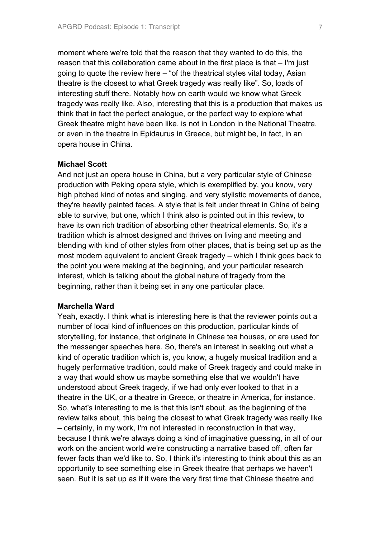moment where we're told that the reason that they wanted to do this, the reason that this collaboration came about in the first place is that – I'm just going to quote the review here – "of the theatrical styles vital today, Asian theatre is the closest to what Greek tragedy was really like". So, loads of interesting stuff there. Notably how on earth would we know what Greek tragedy was really like. Also, interesting that this is a production that makes us think that in fact the perfect analogue, or the perfect way to explore what Greek theatre might have been like, is not in London in the National Theatre, or even in the theatre in Epidaurus in Greece, but might be, in fact, in an opera house in China.

# **Michael Scott**

And not just an opera house in China, but a very particular style of Chinese production with Peking opera style, which is exemplified by, you know, very high pitched kind of notes and singing, and very stylistic movements of dance, they're heavily painted faces. A style that is felt under threat in China of being able to survive, but one, which I think also is pointed out in this review, to have its own rich tradition of absorbing other theatrical elements. So, it's a tradition which is almost designed and thrives on living and meeting and blending with kind of other styles from other places, that is being set up as the most modern equivalent to ancient Greek tragedy – which I think goes back to the point you were making at the beginning, and your particular research interest, which is talking about the global nature of tragedy from the beginning, rather than it being set in any one particular place.

#### **Marchella Ward**

Yeah, exactly. I think what is interesting here is that the reviewer points out a number of local kind of influences on this production, particular kinds of storytelling, for instance, that originate in Chinese tea houses, or are used for the messenger speeches here. So, there's an interest in seeking out what a kind of operatic tradition which is, you know, a hugely musical tradition and a hugely performative tradition, could make of Greek tragedy and could make in a way that would show us maybe something else that we wouldn't have understood about Greek tragedy, if we had only ever looked to that in a theatre in the UK, or a theatre in Greece, or theatre in America, for instance. So, what's interesting to me is that this isn't about, as the beginning of the review talks about, this being the closest to what Greek tragedy was really like – certainly, in my work, I'm not interested in reconstruction in that way, because I think we're always doing a kind of imaginative guessing, in all of our work on the ancient world we're constructing a narrative based off, often far fewer facts than we'd like to. So, I think it's interesting to think about this as an opportunity to see something else in Greek theatre that perhaps we haven't seen. But it is set up as if it were the very first time that Chinese theatre and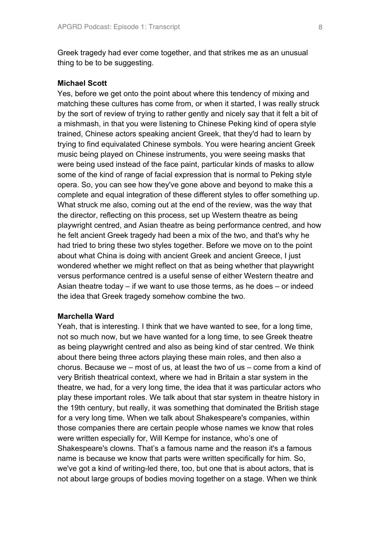Greek tragedy had ever come together, and that strikes me as an unusual thing to be to be suggesting.

### **Michael Scott**

Yes, before we get onto the point about where this tendency of mixing and matching these cultures has come from, or when it started, I was really struck by the sort of review of trying to rather gently and nicely say that it felt a bit of a mishmash, in that you were listening to Chinese Peking kind of opera style trained, Chinese actors speaking ancient Greek, that they'd had to learn by trying to find equivalated Chinese symbols. You were hearing ancient Greek music being played on Chinese instruments, you were seeing masks that were being used instead of the face paint, particular kinds of masks to allow some of the kind of range of facial expression that is normal to Peking style opera. So, you can see how they've gone above and beyond to make this a complete and equal integration of these different styles to offer something up. What struck me also, coming out at the end of the review, was the way that the director, reflecting on this process, set up Western theatre as being playwright centred, and Asian theatre as being performance centred, and how he felt ancient Greek tragedy had been a mix of the two, and that's why he had tried to bring these two styles together. Before we move on to the point about what China is doing with ancient Greek and ancient Greece, I just wondered whether we might reflect on that as being whether that playwright versus performance centred is a useful sense of either Western theatre and Asian theatre today – if we want to use those terms, as he does – or indeed the idea that Greek tragedy somehow combine the two.

#### **Marchella Ward**

Yeah, that is interesting. I think that we have wanted to see, for a long time, not so much now, but we have wanted for a long time, to see Greek theatre as being playwright centred and also as being kind of star centred. We think about there being three actors playing these main roles, and then also a chorus. Because we – most of us, at least the two of us – come from a kind of very British theatrical context, where we had in Britain a star system in the theatre, we had, for a very long time, the idea that it was particular actors who play these important roles. We talk about that star system in theatre history in the 19th century, but really, it was something that dominated the British stage for a very long time. When we talk about Shakespeare's companies, within those companies there are certain people whose names we know that roles were written especially for, Will Kempe for instance, who's one of Shakespeare's clowns. That's a famous name and the reason it's a famous name is because we know that parts were written specifically for him. So, we've got a kind of writing-led there, too, but one that is about actors, that is not about large groups of bodies moving together on a stage. When we think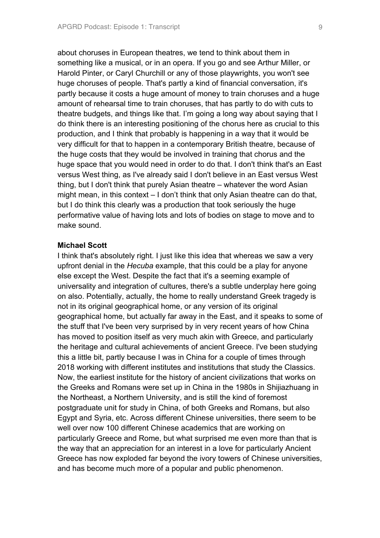about choruses in European theatres, we tend to think about them in something like a musical, or in an opera. If you go and see Arthur Miller, or Harold Pinter, or Caryl Churchill or any of those playwrights, you won't see huge choruses of people. That's partly a kind of financial conversation, it's partly because it costs a huge amount of money to train choruses and a huge amount of rehearsal time to train choruses, that has partly to do with cuts to theatre budgets, and things like that. I'm going a long way about saying that I do think there is an interesting positioning of the chorus here as crucial to this production, and I think that probably is happening in a way that it would be very difficult for that to happen in a contemporary British theatre, because of the huge costs that they would be involved in training that chorus and the huge space that you would need in order to do that. I don't think that's an East versus West thing, as I've already said I don't believe in an East versus West thing, but I don't think that purely Asian theatre – whatever the word Asian might mean, in this context – I don't think that only Asian theatre can do that, but I do think this clearly was a production that took seriously the huge performative value of having lots and lots of bodies on stage to move and to make sound.

#### **Michael Scott**

I think that's absolutely right. I just like this idea that whereas we saw a very upfront denial in the *Hecuba* example, that this could be a play for anyone else except the West. Despite the fact that it's a seeming example of universality and integration of cultures, there's a subtle underplay here going on also. Potentially, actually, the home to really understand Greek tragedy is not in its original geographical home, or any version of its original geographical home, but actually far away in the East, and it speaks to some of the stuff that I've been very surprised by in very recent years of how China has moved to position itself as very much akin with Greece, and particularly the heritage and cultural achievements of ancient Greece. I've been studying this a little bit, partly because I was in China for a couple of times through 2018 working with different institutes and institutions that study the Classics. Now, the earliest institute for the history of ancient civilizations that works on the Greeks and Romans were set up in China in the 1980s in Shijiazhuang in the Northeast, a Northern University, and is still the kind of foremost postgraduate unit for study in China, of both Greeks and Romans, but also Egypt and Syria, etc. Across different Chinese universities, there seem to be well over now 100 different Chinese academics that are working on particularly Greece and Rome, but what surprised me even more than that is the way that an appreciation for an interest in a love for particularly Ancient Greece has now exploded far beyond the ivory towers of Chinese universities, and has become much more of a popular and public phenomenon.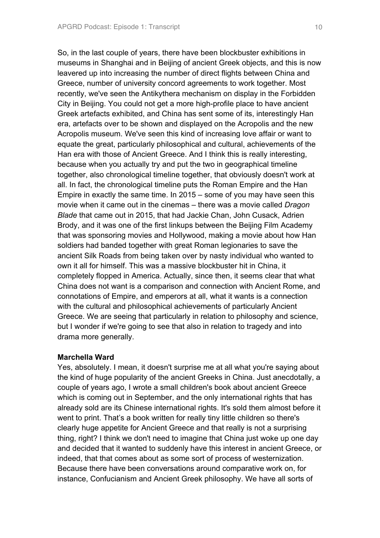So, in the last couple of years, there have been blockbuster exhibitions in museums in Shanghai and in Beijing of ancient Greek objects, and this is now leavered up into increasing the number of direct flights between China and Greece, number of university concord agreements to work together. Most recently, we've seen the Antikythera mechanism on display in the Forbidden City in Beijing. You could not get a more high-profile place to have ancient Greek artefacts exhibited, and China has sent some of its, interestingly Han era, artefacts over to be shown and displayed on the Acropolis and the new Acropolis museum. We've seen this kind of increasing love affair or want to equate the great, particularly philosophical and cultural, achievements of the Han era with those of Ancient Greece. And I think this is really interesting, because when you actually try and put the two in geographical timeline together, also chronological timeline together, that obviously doesn't work at all. In fact, the chronological timeline puts the Roman Empire and the Han Empire in exactly the same time. In 2015 – some of you may have seen this movie when it came out in the cinemas – there was a movie called *Dragon Blade* that came out in 2015, that had Jackie Chan, John Cusack, Adrien Brody, and it was one of the first linkups between the Beijing Film Academy that was sponsoring movies and Hollywood, making a movie about how Han soldiers had banded together with great Roman legionaries to save the ancient Silk Roads from being taken over by nasty individual who wanted to own it all for himself. This was a massive blockbuster hit in China, it completely flopped in America. Actually, since then, it seems clear that what China does not want is a comparison and connection with Ancient Rome, and connotations of Empire, and emperors at all, what it wants is a connection with the cultural and philosophical achievements of particularly Ancient Greece. We are seeing that particularly in relation to philosophy and science, but I wonder if we're going to see that also in relation to tragedy and into drama more generally.

### **Marchella Ward**

Yes, absolutely. I mean, it doesn't surprise me at all what you're saying about the kind of huge popularity of the ancient Greeks in China. Just anecdotally, a couple of years ago, I wrote a small children's book about ancient Greece which is coming out in September, and the only international rights that has already sold are its Chinese international rights. It's sold them almost before it went to print. That's a book written for really tiny little children so there's clearly huge appetite for Ancient Greece and that really is not a surprising thing, right? I think we don't need to imagine that China just woke up one day and decided that it wanted to suddenly have this interest in ancient Greece, or indeed, that that comes about as some sort of process of westernization. Because there have been conversations around comparative work on, for instance, Confucianism and Ancient Greek philosophy. We have all sorts of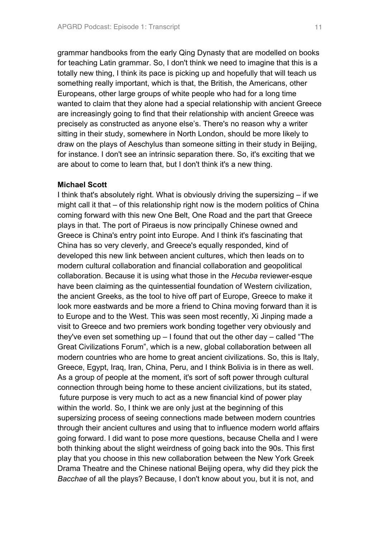grammar handbooks from the early Qing Dynasty that are modelled on books for teaching Latin grammar. So, I don't think we need to imagine that this is a totally new thing, I think its pace is picking up and hopefully that will teach us something really important, which is that, the British, the Americans, other Europeans, other large groups of white people who had for a long time wanted to claim that they alone had a special relationship with ancient Greece are increasingly going to find that their relationship with ancient Greece was precisely as constructed as anyone else's. There's no reason why a writer sitting in their study, somewhere in North London, should be more likely to draw on the plays of Aeschylus than someone sitting in their study in Beijing, for instance. I don't see an intrinsic separation there. So, it's exciting that we are about to come to learn that, but I don't think it's a new thing.

#### **Michael Scott**

I think that's absolutely right. What is obviously driving the supersizing – if we might call it that – of this relationship right now is the modern politics of China coming forward with this new One Belt, One Road and the part that Greece plays in that. The port of Piraeus is now principally Chinese owned and Greece is China's entry point into Europe. And I think it's fascinating that China has so very cleverly, and Greece's equally responded, kind of developed this new link between ancient cultures, which then leads on to modern cultural collaboration and financial collaboration and geopolitical collaboration. Because it is using what those in the *Hecuba* reviewer-esque have been claiming as the quintessential foundation of Western civilization, the ancient Greeks, as the tool to hive off part of Europe, Greece to make it look more eastwards and be more a friend to China moving forward than it is to Europe and to the West. This was seen most recently, Xi Jinping made a visit to Greece and two premiers work bonding together very obviously and they've even set something up – I found that out the other day – called "The Great Civilizations Forum", which is a new, global collaboration between all modern countries who are home to great ancient civilizations. So, this is Italy, Greece, Egypt, Iraq, Iran, China, Peru, and I think Bolivia is in there as well. As a group of people at the moment, it's sort of soft power through cultural connection through being home to these ancient civilizations, but its stated, future purpose is very much to act as a new financial kind of power play within the world. So, I think we are only just at the beginning of this supersizing process of seeing connections made between modern countries through their ancient cultures and using that to influence modern world affairs going forward. I did want to pose more questions, because Chella and I were both thinking about the slight weirdness of going back into the 90s. This first play that you choose in this new collaboration between the New York Greek Drama Theatre and the Chinese national Beijing opera, why did they pick the *Bacchae* of all the plays? Because, I don't know about you, but it is not, and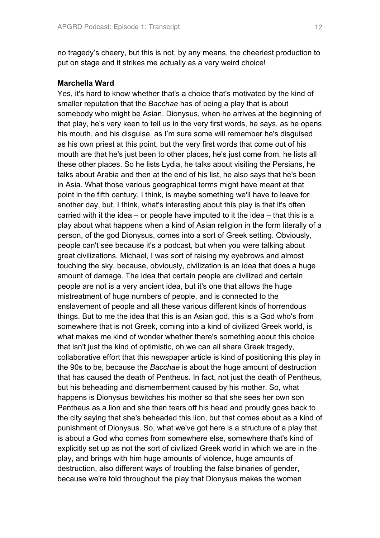no tragedy's cheery, but this is not, by any means, the cheeriest production to put on stage and it strikes me actually as a very weird choice!

### **Marchella Ward**

Yes, it's hard to know whether that's a choice that's motivated by the kind of smaller reputation that the *Bacchae* has of being a play that is about somebody who might be Asian. Dionysus, when he arrives at the beginning of that play, he's very keen to tell us in the very first words, he says, as he opens his mouth, and his disguise, as I'm sure some will remember he's disguised as his own priest at this point, but the very first words that come out of his mouth are that he's just been to other places, he's just come from, he lists all these other places. So he lists Lydia, he talks about visiting the Persians, he talks about Arabia and then at the end of his list, he also says that he's been in Asia. What those various geographical terms might have meant at that point in the fifth century, I think, is maybe something we'll have to leave for another day, but, I think, what's interesting about this play is that it's often carried with it the idea – or people have imputed to it the idea – that this is a play about what happens when a kind of Asian religion in the form literally of a person, of the god Dionysus, comes into a sort of Greek setting. Obviously, people can't see because it's a podcast, but when you were talking about great civilizations, Michael, I was sort of raising my eyebrows and almost touching the sky, because, obviously, civilization is an idea that does a huge amount of damage. The idea that certain people are civilized and certain people are not is a very ancient idea, but it's one that allows the huge mistreatment of huge numbers of people, and is connected to the enslavement of people and all these various different kinds of horrendous things. But to me the idea that this is an Asian god, this is a God who's from somewhere that is not Greek, coming into a kind of civilized Greek world, is what makes me kind of wonder whether there's something about this choice that isn't just the kind of optimistic, oh we can all share Greek tragedy, collaborative effort that this newspaper article is kind of positioning this play in the 90s to be, because the *Bacchae* is about the huge amount of destruction that has caused the death of Pentheus. In fact, not just the death of Pentheus, but his beheading and dismemberment caused by his mother. So, what happens is Dionysus bewitches his mother so that she sees her own son Pentheus as a lion and she then tears off his head and proudly goes back to the city saying that she's beheaded this lion, but that comes about as a kind of punishment of Dionysus. So, what we've got here is a structure of a play that is about a God who comes from somewhere else, somewhere that's kind of explicitly set up as not the sort of civilized Greek world in which we are in the play, and brings with him huge amounts of violence, huge amounts of destruction, also different ways of troubling the false binaries of gender, because we're told throughout the play that Dionysus makes the women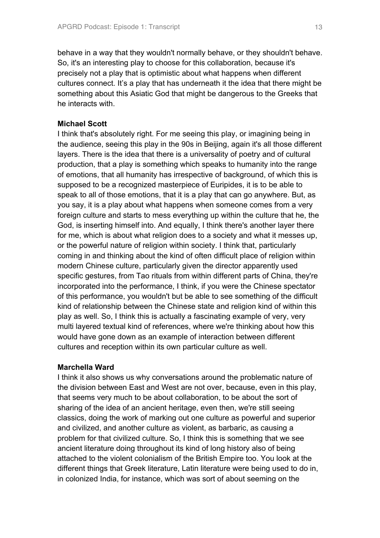behave in a way that they wouldn't normally behave, or they shouldn't behave. So, it's an interesting play to choose for this collaboration, because it's precisely not a play that is optimistic about what happens when different cultures connect. It's a play that has underneath it the idea that there might be something about this Asiatic God that might be dangerous to the Greeks that he interacts with.

### **Michael Scott**

I think that's absolutely right. For me seeing this play, or imagining being in the audience, seeing this play in the 90s in Beijing, again it's all those different layers. There is the idea that there is a universality of poetry and of cultural production, that a play is something which speaks to humanity into the range of emotions, that all humanity has irrespective of background, of which this is supposed to be a recognized masterpiece of Euripides, it is to be able to speak to all of those emotions, that it is a play that can go anywhere. But, as you say, it is a play about what happens when someone comes from a very foreign culture and starts to mess everything up within the culture that he, the God, is inserting himself into. And equally, I think there's another layer there for me, which is about what religion does to a society and what it messes up, or the powerful nature of religion within society. I think that, particularly coming in and thinking about the kind of often difficult place of religion within modern Chinese culture, particularly given the director apparently used specific gestures, from Tao rituals from within different parts of China, they're incorporated into the performance, I think, if you were the Chinese spectator of this performance, you wouldn't but be able to see something of the difficult kind of relationship between the Chinese state and religion kind of within this play as well. So, I think this is actually a fascinating example of very, very multi layered textual kind of references, where we're thinking about how this would have gone down as an example of interaction between different cultures and reception within its own particular culture as well.

### **Marchella Ward**

I think it also shows us why conversations around the problematic nature of the division between East and West are not over, because, even in this play, that seems very much to be about collaboration, to be about the sort of sharing of the idea of an ancient heritage, even then, we're still seeing classics, doing the work of marking out one culture as powerful and superior and civilized, and another culture as violent, as barbaric, as causing a problem for that civilized culture. So, I think this is something that we see ancient literature doing throughout its kind of long history also of being attached to the violent colonialism of the British Empire too. You look at the different things that Greek literature, Latin literature were being used to do in, in colonized India, for instance, which was sort of about seeming on the